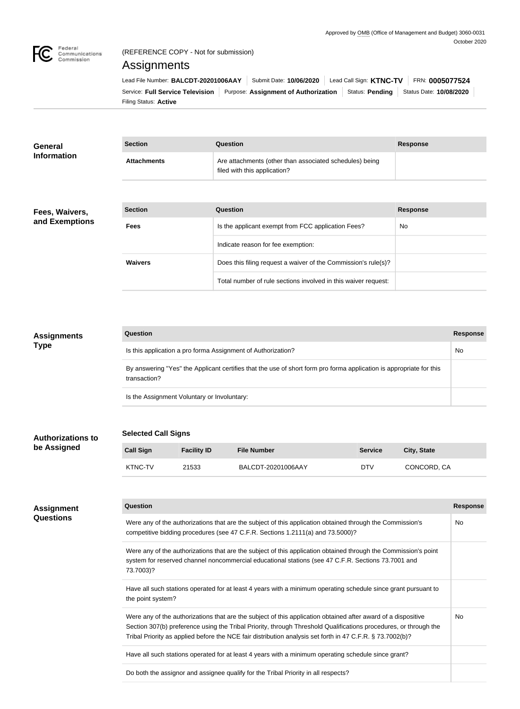

## (REFERENCE COPY - Not for submission)

# Assignments

Filing Status: **Active** Service: Full Service Television | Purpose: Assignment of Authorization | Status: Pending | Status Date: 10/08/2020 Lead File Number: BALCDT-20201006AAY | Submit Date: 10/06/2020 | Lead Call Sign: **KTNC-TV** | FRN: 0005077524

Total number of rule sections involved in this waiver request:

| General            | <b>Section</b>     | Question                                                                                | <b>Response</b> |
|--------------------|--------------------|-----------------------------------------------------------------------------------------|-----------------|
| <b>Information</b> | <b>Attachments</b> | Are attachments (other than associated schedules) being<br>filed with this application? |                 |
|                    |                    |                                                                                         |                 |
| Fees, Waivers,     | <b>Section</b>     | Question                                                                                | <b>Response</b> |
| and Exemptions     | <b>Fees</b>        | Is the applicant exempt from FCC application Fees?                                      | No.             |
|                    |                    | Indicate reason for fee exemption:                                                      |                 |
|                    | <b>Waivers</b>     | Does this filing request a waiver of the Commission's rule(s)?                          |                 |

| <b>Assignments</b> | Question                                                                                                                            | <b>Response</b> |
|--------------------|-------------------------------------------------------------------------------------------------------------------------------------|-----------------|
| <b>Type</b>        | Is this application a pro forma Assignment of Authorization?                                                                        | No              |
|                    | By answering "Yes" the Applicant certifies that the use of short form pro forma application is appropriate for this<br>transaction? |                 |
|                    | Is the Assignment Voluntary or Involuntary:                                                                                         |                 |

| <b>Authorizations to</b> | <b>Selected Call Signs</b> |
|--------------------------|----------------------------|
|                          |                            |

**be Assigned**

# **Call Sign 6 Facility ID File Number Call Sign 6 Service 6 City, State** KTNC-TV 21533 BALCDT-20201006AAY DTV CONCORD, CA

| <b>Assignment</b> | Question                                                                                                                                                                                                                                                                                                                                       | <b>Response</b> |
|-------------------|------------------------------------------------------------------------------------------------------------------------------------------------------------------------------------------------------------------------------------------------------------------------------------------------------------------------------------------------|-----------------|
| <b>Questions</b>  | Were any of the authorizations that are the subject of this application obtained through the Commission's<br>competitive bidding procedures (see 47 C.F.R. Sections 1.2111(a) and 73.5000)?                                                                                                                                                    | No.             |
|                   | Were any of the authorizations that are the subject of this application obtained through the Commission's point<br>system for reserved channel noncommercial educational stations (see 47 C.F.R. Sections 73.7001 and<br>73.7003)?                                                                                                             |                 |
|                   | Have all such stations operated for at least 4 years with a minimum operating schedule since grant pursuant to<br>the point system?                                                                                                                                                                                                            |                 |
|                   | Were any of the authorizations that are the subject of this application obtained after award of a dispositive<br>Section 307(b) preference using the Tribal Priority, through Threshold Qualifications procedures, or through the<br>Tribal Priority as applied before the NCE fair distribution analysis set forth in 47 C.F.R. § 73.7002(b)? | No.             |
|                   | Have all such stations operated for at least 4 years with a minimum operating schedule since grant?                                                                                                                                                                                                                                            |                 |
|                   | Do both the assignor and assignee qualify for the Tribal Priority in all respects?                                                                                                                                                                                                                                                             |                 |
|                   |                                                                                                                                                                                                                                                                                                                                                |                 |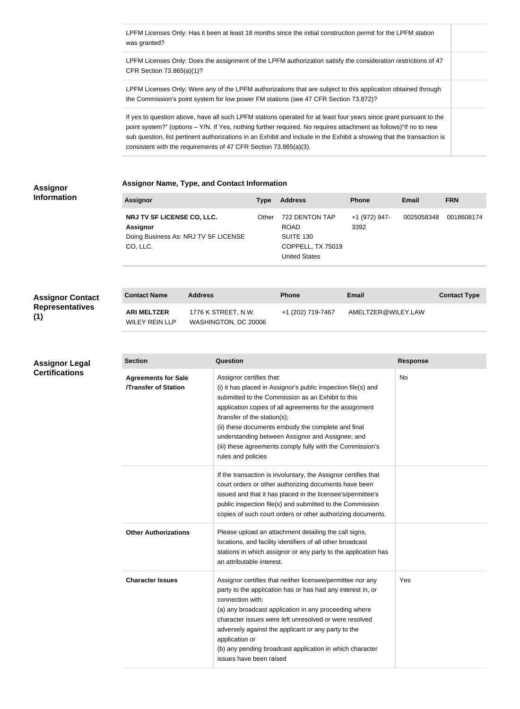LPFM Licenses Only: Has it been at least 18 months since the initial construction permit for the LPFM station was granted?

LPFM Licenses Only: Does the assignment of the LPFM authorization satisfy the consideration restrictions of 47 CFR Section 73.865(a)(1)?

LPFM Licenses Only: Were any of the LPFM authorizations that are subject to this application obtained through the Commission's point system for low power FM stations (see 47 CFR Section 73.872)?

If yes to question above, have all such LPFM stations operated for at least four years since grant pursuant to the point system?" (options – Y/N. If Yes, nothing further required. No requires attachment as follows)"If no to new sub question, list pertinent authorizations in an Exhibit and include in the Exhibit a showing that the transaction is consistent with the requirements of 47 CFR Section 73.865(a)(3).

### **Assignor Information**

#### **Assignor Name, Type, and Contact Information**

| <b>Assignor</b>                                                                                   | <b>Type</b> | <b>Address</b>                                                                          | <b>Phone</b>          | Email      | <b>FRN</b> |
|---------------------------------------------------------------------------------------------------|-------------|-----------------------------------------------------------------------------------------|-----------------------|------------|------------|
| NRJ TV SF LICENSE CO, LLC.<br><b>Assignor</b><br>Doing Business As: NRJ TV SF LICENSE<br>CO, LLC. | Other       | 722 DENTON TAP<br><b>ROAD</b><br>SUITE 130<br>COPPELL, TX 75019<br><b>United States</b> | +1 (972) 947-<br>3392 | 0025058348 | 0018608174 |

## **Assignor Contad Representatives (1)**

**Assignor Legal Certifications**

| ct | <b>Contact Name</b>                  | <b>Address</b>                              | <b>Phone</b>      | Email              | <b>Contact Type</b> |
|----|--------------------------------------|---------------------------------------------|-------------------|--------------------|---------------------|
|    | <b>ARI MELTZER</b><br>WILEY REIN LLP | 1776 K STREET, N.W.<br>WASHINGTON, DC 20006 | +1 (202) 719-7467 | AMELTZER@WILEY.LAW |                     |

| <b>Section</b>                                           | Question                                                                                                                                                                                                                                                                                                                                                                                                                               | <b>Response</b> |
|----------------------------------------------------------|----------------------------------------------------------------------------------------------------------------------------------------------------------------------------------------------------------------------------------------------------------------------------------------------------------------------------------------------------------------------------------------------------------------------------------------|-----------------|
| <b>Agreements for Sale</b><br><b>Transfer of Station</b> | Assignor certifies that:<br>(i) it has placed in Assignor's public inspection file(s) and<br>submitted to the Commission as an Exhibit to this<br>application copies of all agreements for the assignment<br>/transfer of the station(s);<br>(ii) these documents embody the complete and final<br>understanding between Assignor and Assignee; and<br>(iii) these agreements comply fully with the Commission's<br>rules and policies | No              |
|                                                          | If the transaction is involuntary, the Assignor certifies that<br>court orders or other authorizing documents have been<br>issued and that it has placed in the licensee's/permittee's<br>public inspection file(s) and submitted to the Commission<br>copies of such court orders or other authorizing documents.                                                                                                                     |                 |
| <b>Other Authorizations</b>                              | Please upload an attachment detailing the call signs,<br>locations, and facility identifiers of all other broadcast<br>stations in which assignor or any party to the application has<br>an attributable interest.                                                                                                                                                                                                                     |                 |
| <b>Character Issues</b>                                  | Assignor certifies that neither licensee/permittee nor any<br>party to the application has or has had any interest in, or<br>connection with:<br>(a) any broadcast application in any proceeding where<br>character issues were left unresolved or were resolved<br>adversely against the applicant or any party to the<br>application or<br>(b) any pending broadcast application in which character<br>issues have been raised       | Yes             |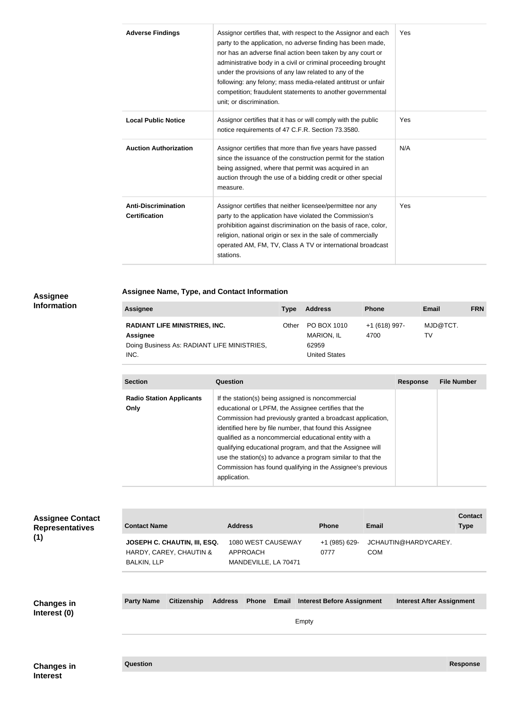| <b>Adverse Findings</b>                            | Assignor certifies that, with respect to the Assignor and each<br>party to the application, no adverse finding has been made,<br>nor has an adverse final action been taken by any court or<br>administrative body in a civil or criminal proceeding brought<br>under the provisions of any law related to any of the<br>following: any felony; mass media-related antitrust or unfair<br>competition; fraudulent statements to another governmental<br>unit; or discrimination. | Yes |
|----------------------------------------------------|----------------------------------------------------------------------------------------------------------------------------------------------------------------------------------------------------------------------------------------------------------------------------------------------------------------------------------------------------------------------------------------------------------------------------------------------------------------------------------|-----|
| <b>Local Public Notice</b>                         | Assignor certifies that it has or will comply with the public<br>notice requirements of 47 C.F.R. Section 73.3580.                                                                                                                                                                                                                                                                                                                                                               | Yes |
| <b>Auction Authorization</b>                       | Assignor certifies that more than five years have passed<br>since the issuance of the construction permit for the station<br>being assigned, where that permit was acquired in an<br>auction through the use of a bidding credit or other special<br>measure.                                                                                                                                                                                                                    | N/A |
| <b>Anti-Discrimination</b><br><b>Certification</b> | Assignor certifies that neither licensee/permittee nor any<br>party to the application have violated the Commission's<br>prohibition against discrimination on the basis of race, color,<br>religion, national origin or sex in the sale of commercially<br>operated AM, FM, TV, Class A TV or international broadcast<br>stations.                                                                                                                                              | Yes |

## **Assignee Information**

# **Assignee Name, Type, and Contact Information**

| <b>Assignee</b>                                                                                                | Type  | <b>Address</b>                                                    | <b>Phone</b>          | Email          | <b>FRN</b> |
|----------------------------------------------------------------------------------------------------------------|-------|-------------------------------------------------------------------|-----------------------|----------------|------------|
| <b>RADIANT LIFE MINISTRIES, INC.</b><br><b>Assignee</b><br>Doing Business As: RADIANT LIFE MINISTRIES,<br>INC. | Other | PO BOX 1010<br><b>MARION, IL</b><br>62959<br><b>United States</b> | +1 (618) 997-<br>4700 | MJD@TCT.<br>TV |            |

| <b>Section</b>                          | Question                                                                                                                                                                                                                                                                                                                                                                                                                                                                                                 | <b>Response</b> | <b>File Number</b> |
|-----------------------------------------|----------------------------------------------------------------------------------------------------------------------------------------------------------------------------------------------------------------------------------------------------------------------------------------------------------------------------------------------------------------------------------------------------------------------------------------------------------------------------------------------------------|-----------------|--------------------|
| <b>Radio Station Applicants</b><br>Only | If the station(s) being assigned is noncommercial<br>educational or LPFM, the Assignee certifies that the<br>Commission had previously granted a broadcast application,<br>identified here by file number, that found this Assignee<br>qualified as a noncommercial educational entity with a<br>qualifying educational program, and that the Assignee will<br>use the station(s) to advance a program similar to that the<br>Commission has found qualifying in the Assignee's previous<br>application. |                 |                    |

| <b>Assignee Contact</b><br><b>Representatives</b><br>(1) | <b>Contact Name</b> |                                                         |                | <b>Address</b>                                         |       |       | <b>Phone</b>                      | <b>Email</b> |                                  | <b>Contact</b><br><b>Type</b> |
|----------------------------------------------------------|---------------------|---------------------------------------------------------|----------------|--------------------------------------------------------|-------|-------|-----------------------------------|--------------|----------------------------------|-------------------------------|
|                                                          | <b>BALKIN, LLP</b>  | JOSEPH C. CHAUTIN, III, ESQ.<br>HARDY, CAREY, CHAUTIN & |                | 1080 WEST CAUSEWAY<br>APPROACH<br>MANDEVILLE, LA 70471 |       |       | +1 (985) 629-<br>0777             | <b>COM</b>   | JCHAUTIN@HARDYCAREY.             |                               |
|                                                          |                     |                                                         |                |                                                        |       |       |                                   |              |                                  |                               |
| <b>Changes in</b><br>Interest (0)                        | <b>Party Name</b>   | <b>Citizenship</b>                                      | <b>Address</b> | <b>Phone</b>                                           | Email | Empty | <b>Interest Before Assignment</b> |              | <b>Interest After Assignment</b> |                               |
|                                                          |                     |                                                         |                |                                                        |       |       |                                   |              |                                  |                               |
| <b>Changes in</b>                                        | Question            |                                                         |                |                                                        |       |       |                                   |              |                                  | <b>Response</b>               |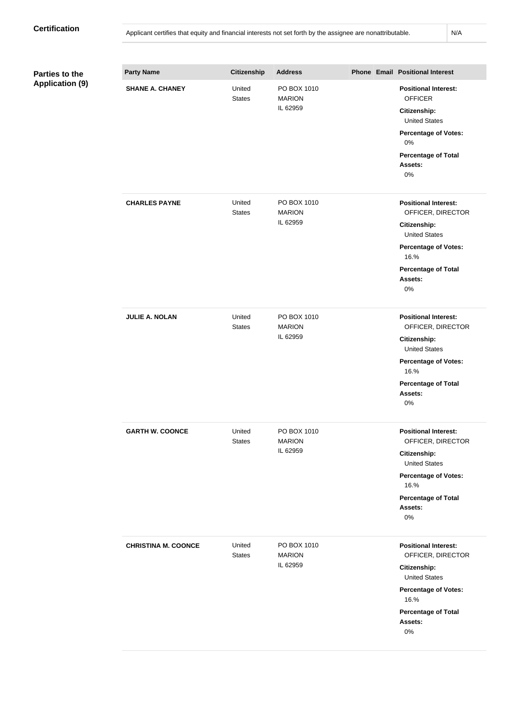| <b>Parties to the</b>  | <b>Party Name</b>          | Citizenship             | <b>Address</b>                           |  | <b>Phone Email Positional Interest</b>                                                                                                                                                |
|------------------------|----------------------------|-------------------------|------------------------------------------|--|---------------------------------------------------------------------------------------------------------------------------------------------------------------------------------------|
| <b>Application (9)</b> | <b>SHANE A. CHANEY</b>     | United<br><b>States</b> | PO BOX 1010<br><b>MARION</b><br>IL 62959 |  | <b>Positional Interest:</b><br><b>OFFICER</b><br><b>Citizenship:</b><br><b>United States</b><br><b>Percentage of Votes:</b><br>0%<br><b>Percentage of Total</b><br>Assets:<br>$0\%$   |
|                        | <b>CHARLES PAYNE</b>       | United<br><b>States</b> | PO BOX 1010<br><b>MARION</b><br>IL 62959 |  | <b>Positional Interest:</b><br>OFFICER, DIRECTOR<br>Citizenship:<br><b>United States</b><br><b>Percentage of Votes:</b><br>16.%<br><b>Percentage of Total</b><br>Assets:<br>$0\%$     |
|                        | <b>JULIE A. NOLAN</b>      | United<br><b>States</b> | PO BOX 1010<br><b>MARION</b><br>IL 62959 |  | <b>Positional Interest:</b><br>OFFICER, DIRECTOR<br><b>Citizenship:</b><br><b>United States</b><br><b>Percentage of Votes:</b><br>16.%<br><b>Percentage of Total</b><br>Assets:<br>0% |
|                        | <b>GARTH W. COONCE</b>     | United<br><b>States</b> | PO BOX 1010<br><b>MARION</b><br>IL 62959 |  | <b>Positional Interest:</b><br>OFFICER, DIRECTOR<br>Citizenship:<br><b>United States</b><br><b>Percentage of Votes:</b><br>16.%<br><b>Percentage of Total</b><br>Assets:<br>$0\%$     |
|                        | <b>CHRISTINA M. COONCE</b> | United<br><b>States</b> | PO BOX 1010<br><b>MARION</b><br>IL 62959 |  | <b>Positional Interest:</b><br>OFFICER, DIRECTOR<br>Citizenship:<br><b>United States</b><br><b>Percentage of Votes:</b><br>16.%<br><b>Percentage of Total</b><br>Assets:<br>$0\%$     |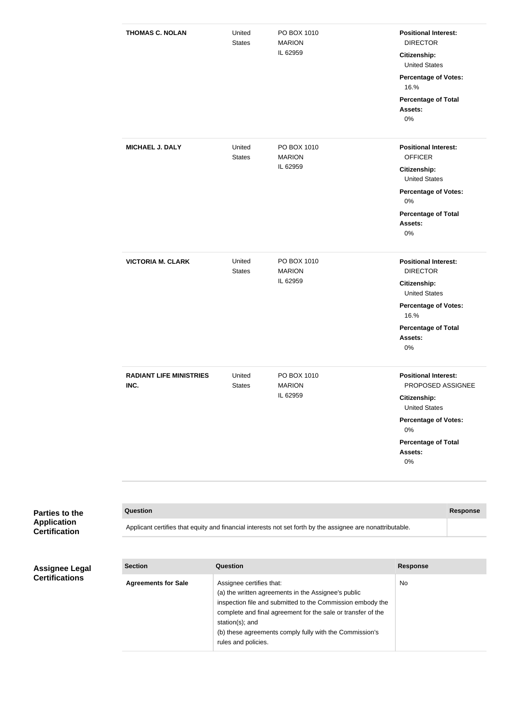| <b>THOMAS C. NOLAN</b>                 | United<br><b>States</b> | PO BOX 1010<br><b>MARION</b><br>IL 62959 | <b>Positional Interest:</b><br><b>DIRECTOR</b><br><b>Citizenship:</b><br><b>United States</b><br><b>Percentage of Votes:</b><br>16.%<br><b>Percentage of Total</b><br>Assets:<br>$0\%$ |
|----------------------------------------|-------------------------|------------------------------------------|----------------------------------------------------------------------------------------------------------------------------------------------------------------------------------------|
| <b>MICHAEL J. DALY</b>                 | United<br><b>States</b> | PO BOX 1010<br><b>MARION</b><br>IL 62959 | <b>Positional Interest:</b><br><b>OFFICER</b><br><b>Citizenship:</b><br><b>United States</b><br><b>Percentage of Votes:</b><br>$0\%$<br><b>Percentage of Total</b><br>Assets:<br>0%    |
| <b>VICTORIA M. CLARK</b>               | United<br><b>States</b> | PO BOX 1010<br><b>MARION</b><br>IL 62959 | <b>Positional Interest:</b><br><b>DIRECTOR</b><br>Citizenship:<br><b>United States</b><br><b>Percentage of Votes:</b><br>16.%<br><b>Percentage of Total</b><br>Assets:<br>0%           |
| <b>RADIANT LIFE MINISTRIES</b><br>INC. | United<br><b>States</b> | PO BOX 1010<br><b>MARION</b><br>IL 62959 | <b>Positional Interest:</b><br>PROPOSED ASSIGNEE<br>Citizenship:<br><b>United States</b><br><b>Percentage of Votes:</b><br>$0\%$<br><b>Percentage of Total</b><br>Assets:<br>$0\%$     |

| <b>Parties to the</b> |
|-----------------------|
| <b>Application</b>    |
| <b>Certification</b>  |

| Question                                                                                                   | Response |
|------------------------------------------------------------------------------------------------------------|----------|
| Applicant certifies that equity and financial interests not set forth by the assignee are nonattributable. |          |

| <b>Assignee Legal</b> |
|-----------------------|
| <b>Certifications</b> |

| <b>Section</b>             | Question                                                                                                                                                                                                                                                                                                           | <b>Response</b> |
|----------------------------|--------------------------------------------------------------------------------------------------------------------------------------------------------------------------------------------------------------------------------------------------------------------------------------------------------------------|-----------------|
| <b>Agreements for Sale</b> | Assignee certifies that:<br>(a) the written agreements in the Assignee's public<br>inspection file and submitted to the Commission embody the<br>complete and final agreement for the sale or transfer of the<br>station(s); and<br>(b) these agreements comply fully with the Commission's<br>rules and policies. | No.             |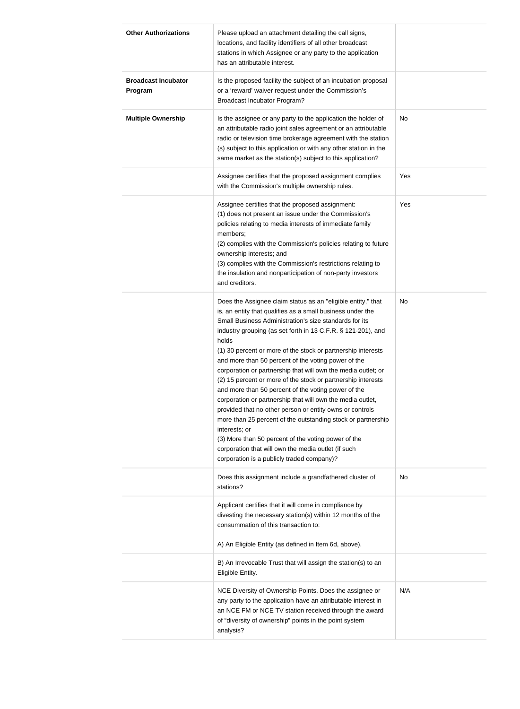| <b>Other Authorizations</b>           | Please upload an attachment detailing the call signs,<br>locations, and facility identifiers of all other broadcast<br>stations in which Assignee or any party to the application<br>has an attributable interest.                                                                                                                                                                                                                                                                                                                                                                                                                                                                                                                                                                                                                                                                                                                                  |           |
|---------------------------------------|-----------------------------------------------------------------------------------------------------------------------------------------------------------------------------------------------------------------------------------------------------------------------------------------------------------------------------------------------------------------------------------------------------------------------------------------------------------------------------------------------------------------------------------------------------------------------------------------------------------------------------------------------------------------------------------------------------------------------------------------------------------------------------------------------------------------------------------------------------------------------------------------------------------------------------------------------------|-----------|
| <b>Broadcast Incubator</b><br>Program | Is the proposed facility the subject of an incubation proposal<br>or a 'reward' waiver request under the Commission's<br><b>Broadcast Incubator Program?</b>                                                                                                                                                                                                                                                                                                                                                                                                                                                                                                                                                                                                                                                                                                                                                                                        |           |
| <b>Multiple Ownership</b>             | Is the assignee or any party to the application the holder of<br>an attributable radio joint sales agreement or an attributable<br>radio or television time brokerage agreement with the station<br>(s) subject to this application or with any other station in the<br>same market as the station(s) subject to this application?                                                                                                                                                                                                                                                                                                                                                                                                                                                                                                                                                                                                                  | <b>No</b> |
|                                       | Assignee certifies that the proposed assignment complies<br>with the Commission's multiple ownership rules.                                                                                                                                                                                                                                                                                                                                                                                                                                                                                                                                                                                                                                                                                                                                                                                                                                         | Yes       |
|                                       | Assignee certifies that the proposed assignment:<br>(1) does not present an issue under the Commission's<br>policies relating to media interests of immediate family<br>members;<br>(2) complies with the Commission's policies relating to future<br>ownership interests; and<br>(3) complies with the Commission's restrictions relating to<br>the insulation and nonparticipation of non-party investors<br>and creditors.                                                                                                                                                                                                                                                                                                                                                                                                                                                                                                                       | Yes       |
|                                       | Does the Assignee claim status as an "eligible entity," that<br>is, an entity that qualifies as a small business under the<br>Small Business Administration's size standards for its<br>industry grouping (as set forth in 13 C.F.R. § 121-201), and<br>holds<br>(1) 30 percent or more of the stock or partnership interests<br>and more than 50 percent of the voting power of the<br>corporation or partnership that will own the media outlet; or<br>(2) 15 percent or more of the stock or partnership interests<br>and more than 50 percent of the voting power of the<br>corporation or partnership that will own the media outlet,<br>provided that no other person or entity owns or controls<br>more than 25 percent of the outstanding stock or partnership<br>interests; or<br>(3) More than 50 percent of the voting power of the<br>corporation that will own the media outlet (if such<br>corporation is a publicly traded company)? | No        |
|                                       | Does this assignment include a grandfathered cluster of<br>stations?                                                                                                                                                                                                                                                                                                                                                                                                                                                                                                                                                                                                                                                                                                                                                                                                                                                                                | No        |
|                                       | Applicant certifies that it will come in compliance by<br>divesting the necessary station(s) within 12 months of the<br>consummation of this transaction to:                                                                                                                                                                                                                                                                                                                                                                                                                                                                                                                                                                                                                                                                                                                                                                                        |           |
|                                       | A) An Eligible Entity (as defined in Item 6d, above).                                                                                                                                                                                                                                                                                                                                                                                                                                                                                                                                                                                                                                                                                                                                                                                                                                                                                               |           |
|                                       | B) An Irrevocable Trust that will assign the station(s) to an<br>Eligible Entity.                                                                                                                                                                                                                                                                                                                                                                                                                                                                                                                                                                                                                                                                                                                                                                                                                                                                   |           |
|                                       | NCE Diversity of Ownership Points. Does the assignee or<br>any party to the application have an attributable interest in<br>an NCE FM or NCE TV station received through the award<br>of "diversity of ownership" points in the point system<br>analysis?                                                                                                                                                                                                                                                                                                                                                                                                                                                                                                                                                                                                                                                                                           | N/A       |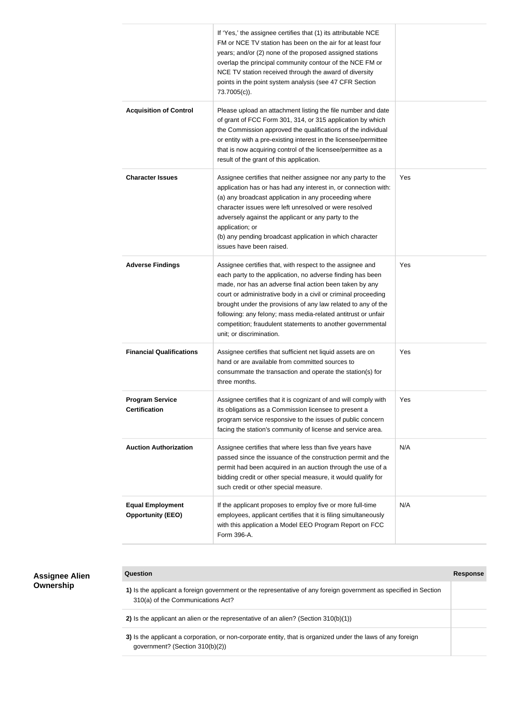|                                                     | If 'Yes,' the assignee certifies that (1) its attributable NCE<br>FM or NCE TV station has been on the air for at least four<br>years; and/or (2) none of the proposed assigned stations<br>overlap the principal community contour of the NCE FM or<br>NCE TV station received through the award of diversity<br>points in the point system analysis (see 47 CFR Section<br>73.7005(c)).                                                                                        |     |
|-----------------------------------------------------|----------------------------------------------------------------------------------------------------------------------------------------------------------------------------------------------------------------------------------------------------------------------------------------------------------------------------------------------------------------------------------------------------------------------------------------------------------------------------------|-----|
| <b>Acquisition of Control</b>                       | Please upload an attachment listing the file number and date<br>of grant of FCC Form 301, 314, or 315 application by which<br>the Commission approved the qualifications of the individual<br>or entity with a pre-existing interest in the licensee/permittee<br>that is now acquiring control of the licensee/permittee as a<br>result of the grant of this application.                                                                                                       |     |
| <b>Character Issues</b>                             | Assignee certifies that neither assignee nor any party to the<br>application has or has had any interest in, or connection with:<br>(a) any broadcast application in any proceeding where<br>character issues were left unresolved or were resolved<br>adversely against the applicant or any party to the<br>application; or<br>(b) any pending broadcast application in which character<br>issues have been raised.                                                            | Yes |
| <b>Adverse Findings</b>                             | Assignee certifies that, with respect to the assignee and<br>each party to the application, no adverse finding has been<br>made, nor has an adverse final action been taken by any<br>court or administrative body in a civil or criminal proceeding<br>brought under the provisions of any law related to any of the<br>following: any felony; mass media-related antitrust or unfair<br>competition; fraudulent statements to another governmental<br>unit; or discrimination. | Yes |
| <b>Financial Qualifications</b>                     | Assignee certifies that sufficient net liquid assets are on<br>hand or are available from committed sources to<br>consummate the transaction and operate the station(s) for<br>three months.                                                                                                                                                                                                                                                                                     | Yes |
| <b>Program Service</b><br><b>Certification</b>      | Assignee certifies that it is cognizant of and will comply with<br>its obligations as a Commission licensee to present a<br>program service responsive to the issues of public concern<br>facing the station's community of license and service area.                                                                                                                                                                                                                            | Yes |
| <b>Auction Authorization</b>                        | Assignee certifies that where less than five years have<br>passed since the issuance of the construction permit and the<br>permit had been acquired in an auction through the use of a<br>bidding credit or other special measure, it would qualify for<br>such credit or other special measure.                                                                                                                                                                                 | N/A |
| <b>Equal Employment</b><br><b>Opportunity (EEO)</b> | If the applicant proposes to employ five or more full-time<br>employees, applicant certifies that it is filing simultaneously<br>with this application a Model EEO Program Report on FCC<br>Form 396-A.                                                                                                                                                                                                                                                                          | N/A |

| <b>Assignee Alien</b> | Question                                                                                                                                              | Response |
|-----------------------|-------------------------------------------------------------------------------------------------------------------------------------------------------|----------|
| Ownership             | 1) Is the applicant a foreign government or the representative of any foreign government as specified in Section<br>310(a) of the Communications Act? |          |
|                       | 2) Is the applicant an alien or the representative of an alien? (Section $310(b)(1)$ )                                                                |          |
|                       | 3) Is the applicant a corporation, or non-corporate entity, that is organized under the laws of any foreign<br>government? (Section $310(b)(2)$ )     |          |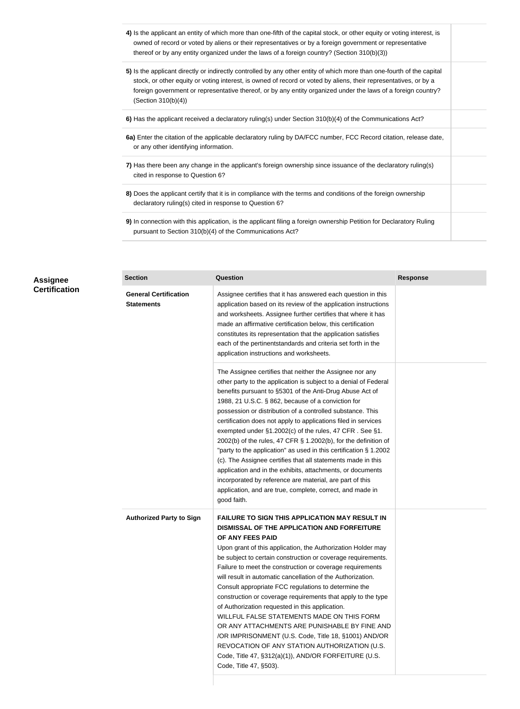- **4)** Is the applicant an entity of which more than one-fifth of the capital stock, or other equity or voting interest, is owned of record or voted by aliens or their representatives or by a foreign government or representative thereof or by any entity organized under the laws of a foreign country? (Section 310(b)(3))
- **5)** Is the applicant directly or indirectly controlled by any other entity of which more than one-fourth of the capital stock, or other equity or voting interest, is owned of record or voted by aliens, their representatives, or by a foreign government or representative thereof, or by any entity organized under the laws of a foreign country? (Section 310(b)(4))
- **6)** Has the applicant received a declaratory ruling(s) under Section 310(b)(4) of the Communications Act?
- **6a)** Enter the citation of the applicable declaratory ruling by DA/FCC number, FCC Record citation, release date, or any other identifying information.
- **7)** Has there been any change in the applicant's foreign ownership since issuance of the declaratory ruling(s) cited in response to Question 6?
- **8)** Does the applicant certify that it is in compliance with the terms and conditions of the foreign ownership declaratory ruling(s) cited in response to Question 6?
- **9)** In connection with this application, is the applicant filing a foreign ownership Petition for Declaratory Ruling pursuant to Section 310(b)(4) of the Communications Act?

|    | <b>Section</b>                                    | Question                                                                                                                                                                                                                                                                                                                                                                                                                                                                                                                                                                                                                                                                                                                                                                                                                                                   | <b>Response</b> |
|----|---------------------------------------------------|------------------------------------------------------------------------------------------------------------------------------------------------------------------------------------------------------------------------------------------------------------------------------------------------------------------------------------------------------------------------------------------------------------------------------------------------------------------------------------------------------------------------------------------------------------------------------------------------------------------------------------------------------------------------------------------------------------------------------------------------------------------------------------------------------------------------------------------------------------|-----------------|
| on | <b>General Certification</b><br><b>Statements</b> | Assignee certifies that it has answered each question in this<br>application based on its review of the application instructions<br>and worksheets. Assignee further certifies that where it has<br>made an affirmative certification below, this certification<br>constitutes its representation that the application satisfies<br>each of the pertinentstandards and criteria set forth in the<br>application instructions and worksheets.                                                                                                                                                                                                                                                                                                                                                                                                               |                 |
|    |                                                   | The Assignee certifies that neither the Assignee nor any<br>other party to the application is subject to a denial of Federal<br>benefits pursuant to §5301 of the Anti-Drug Abuse Act of<br>1988, 21 U.S.C. § 862, because of a conviction for<br>possession or distribution of a controlled substance. This<br>certification does not apply to applications filed in services<br>exempted under §1.2002(c) of the rules, 47 CFR. See §1.<br>2002(b) of the rules, 47 CFR $\S$ 1.2002(b), for the definition of<br>"party to the application" as used in this certification § 1.2002<br>(c). The Assignee certifies that all statements made in this<br>application and in the exhibits, attachments, or documents<br>incorporated by reference are material, are part of this<br>application, and are true, complete, correct, and made in<br>good faith. |                 |
|    | <b>Authorized Party to Sign</b>                   | <b>FAILURE TO SIGN THIS APPLICATION MAY RESULT IN</b><br>DISMISSAL OF THE APPLICATION AND FORFEITURE<br>OF ANY FEES PAID<br>Upon grant of this application, the Authorization Holder may<br>be subject to certain construction or coverage requirements.<br>Failure to meet the construction or coverage requirements<br>will result in automatic cancellation of the Authorization.<br>Consult appropriate FCC regulations to determine the<br>construction or coverage requirements that apply to the type<br>of Authorization requested in this application.<br>WILLFUL FALSE STATEMENTS MADE ON THIS FORM<br>OR ANY ATTACHMENTS ARE PUNISHABLE BY FINE AND<br>/OR IMPRISONMENT (U.S. Code, Title 18, §1001) AND/OR<br>REVOCATION OF ANY STATION AUTHORIZATION (U.S.<br>Code, Title 47, §312(a)(1)), AND/OR FORFEITURE (U.S.<br>Code, Title 47, §503).  |                 |

#### **Assignee Certification**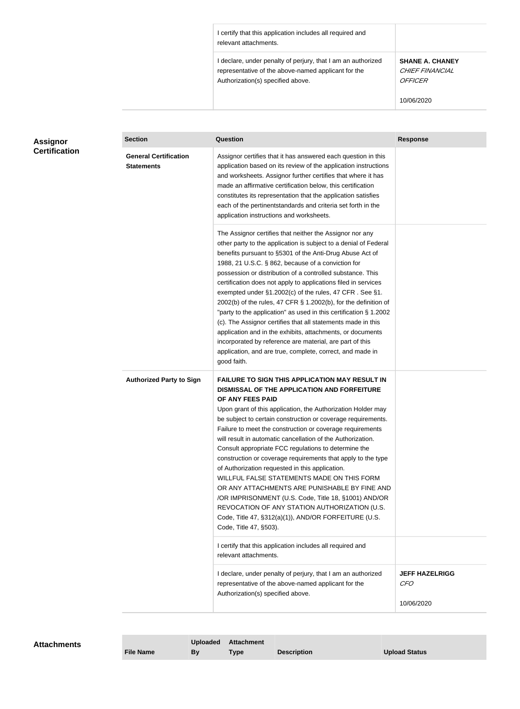I certify that this application includes all required and relevant attachments.

I declare, under penalty of perjury, that I am an authorized representative of the above-named applicant for the Authorization(s) specified above.

**SHANE A. CHANEY**  CHIEF FINANCIAL **OFFICER** 

10/06/2020

| Assignor             | <b>Section</b>                                    | <b>Question</b>                                                                                                                                                                                                                                                                                                                                                                                                                                                                                                                                                                                                                                                                                                                                                                                                                                           | <b>Response</b>                                   |
|----------------------|---------------------------------------------------|-----------------------------------------------------------------------------------------------------------------------------------------------------------------------------------------------------------------------------------------------------------------------------------------------------------------------------------------------------------------------------------------------------------------------------------------------------------------------------------------------------------------------------------------------------------------------------------------------------------------------------------------------------------------------------------------------------------------------------------------------------------------------------------------------------------------------------------------------------------|---------------------------------------------------|
| <b>Certification</b> | <b>General Certification</b><br><b>Statements</b> | Assignor certifies that it has answered each question in this<br>application based on its review of the application instructions<br>and worksheets. Assignor further certifies that where it has<br>made an affirmative certification below, this certification<br>constitutes its representation that the application satisfies<br>each of the pertinentstandards and criteria set forth in the<br>application instructions and worksheets.                                                                                                                                                                                                                                                                                                                                                                                                              |                                                   |
|                      |                                                   | The Assignor certifies that neither the Assignor nor any<br>other party to the application is subject to a denial of Federal<br>benefits pursuant to §5301 of the Anti-Drug Abuse Act of<br>1988, 21 U.S.C. § 862, because of a conviction for<br>possession or distribution of a controlled substance. This<br>certification does not apply to applications filed in services<br>exempted under §1.2002(c) of the rules, 47 CFR. See §1.<br>2002(b) of the rules, 47 CFR § 1.2002(b), for the definition of<br>"party to the application" as used in this certification § 1.2002<br>(c). The Assignor certifies that all statements made in this<br>application and in the exhibits, attachments, or documents<br>incorporated by reference are material, are part of this<br>application, and are true, complete, correct, and made in<br>good faith.   |                                                   |
|                      | <b>Authorized Party to Sign</b>                   | <b>FAILURE TO SIGN THIS APPLICATION MAY RESULT IN</b><br>DISMISSAL OF THE APPLICATION AND FORFEITURE<br>OF ANY FEES PAID<br>Upon grant of this application, the Authorization Holder may<br>be subject to certain construction or coverage requirements.<br>Failure to meet the construction or coverage requirements<br>will result in automatic cancellation of the Authorization.<br>Consult appropriate FCC regulations to determine the<br>construction or coverage requirements that apply to the type<br>of Authorization requested in this application.<br>WILLFUL FALSE STATEMENTS MADE ON THIS FORM<br>OR ANY ATTACHMENTS ARE PUNISHABLE BY FINE AND<br>/OR IMPRISONMENT (U.S. Code, Title 18, §1001) AND/OR<br>REVOCATION OF ANY STATION AUTHORIZATION (U.S.<br>Code, Title 47, §312(a)(1)), AND/OR FORFEITURE (U.S.<br>Code, Title 47, §503). |                                                   |
|                      |                                                   | I certify that this application includes all required and<br>relevant attachments.                                                                                                                                                                                                                                                                                                                                                                                                                                                                                                                                                                                                                                                                                                                                                                        |                                                   |
|                      |                                                   | I declare, under penalty of perjury, that I am an authorized<br>representative of the above-named applicant for the<br>Authorization(s) specified above.                                                                                                                                                                                                                                                                                                                                                                                                                                                                                                                                                                                                                                                                                                  | <b>JEFF HAZELRIGG</b><br><b>CFO</b><br>10/06/2020 |

| <b>Attachments</b> |                  | <b>Uploaded</b> | <b>Attachment</b> |                    |               |
|--------------------|------------------|-----------------|-------------------|--------------------|---------------|
|                    | <b>File Name</b> | Bv              | <b>Type</b>       | <b>Description</b> | Upload Status |